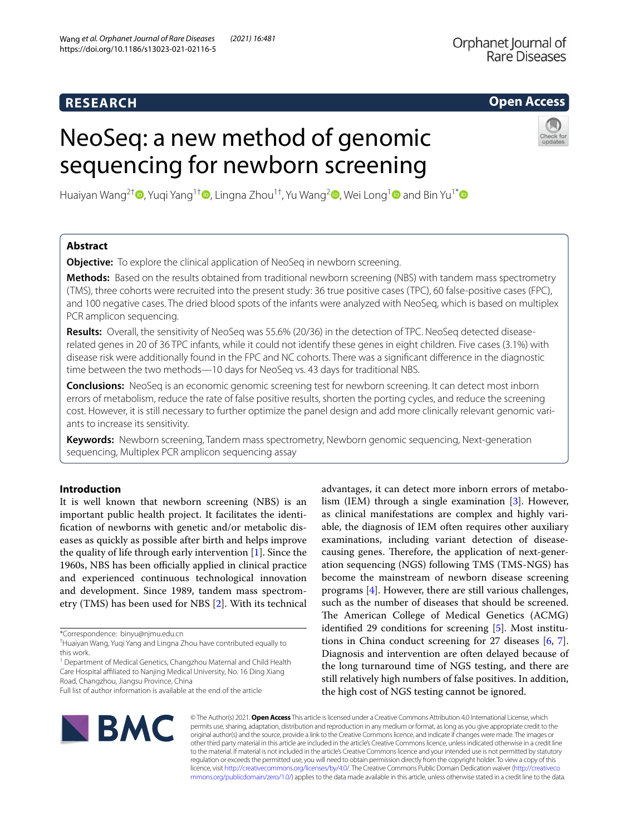# **RESEARCH**

# **Open Access**

# NeoSeq: a new method of genomic sequencing for newborn screening



Huaiyan Wang<sup>2†</sup> [,](http://orcid.org/0000-0002-7619-9541) Yuqi Yang<sup>1†</sup> [,](http://orcid.org/0000-0002-1968-2588) Lingna Zhou<sup>[1](http://orcid.org/0000-0001-7744-4521)†</sup>, Yu Wang<sup>2</sup> , Wei Long<sup>1</sup> and Bin Yu<sup>1[\\*](http://orcid.org/0000-0001-7796-7314)</sup> and Bin Yu<sup>1\*</sup>

# **Abstract**

**Objective:** To explore the clinical application of NeoSeq in newborn screening.

**Methods:** Based on the results obtained from traditional newborn screening (NBS) with tandem mass spectrometry (TMS), three cohorts were recruited into the present study: 36 true positive cases (TPC), 60 false-positive cases (FPC), and 100 negative cases. The dried blood spots of the infants were analyzed with NeoSeq, which is based on multiplex PCR amplicon sequencing.

**Results:** Overall, the sensitivity of NeoSeq was 55.6% (20/36) in the detection of TPC. NeoSeq detected diseaserelated genes in 20 of 36 TPC infants, while it could not identify these genes in eight children. Five cases (3.1%) with disease risk were additionally found in the FPC and NC cohorts. There was a signifcant diference in the diagnostic time between the two methods—10 days for NeoSeq vs. 43 days for traditional NBS.

**Conclusions:** NeoSeq is an economic genomic screening test for newborn screening. It can detect most inborn errors of metabolism, reduce the rate of false positive results, shorten the porting cycles, and reduce the screening cost. However, it is still necessary to further optimize the panel design and add more clinically relevant genomic variants to increase its sensitivity.

**Keywords:** Newborn screening, Tandem mass spectrometry, Newborn genomic sequencing, Next-generation sequencing, Multiplex PCR amplicon sequencing assay

# **Introduction**

It is well known that newborn screening (NBS) is an important public health project. It facilitates the identifcation of newborns with genetic and/or metabolic diseases as quickly as possible after birth and helps improve the quality of life through early intervention [[1\]](#page-7-0). Since the 1960s, NBS has been officially applied in clinical practice and experienced continuous technological innovation and development. Since 1989, tandem mass spectrometry (TMS) has been used for NBS [[2\]](#page-7-1). With its technical

<sup>1</sup> Department of Medical Genetics, Changzhou Maternal and Child Health Care Hospital affiliated to Nanjing Medical University, No. 16 Ding Xiang Road, Changzhou, Jiangsu Province, China

advantages, it can detect more inborn errors of metabolism (IEM) through a single examination [[3\]](#page-7-2). However, as clinical manifestations are complex and highly variable, the diagnosis of IEM often requires other auxiliary examinations, including variant detection of diseasecausing genes. Therefore, the application of next-generation sequencing (NGS) following TMS (TMS-NGS) has become the mainstream of newborn disease screening programs [[4\]](#page-7-3). However, there are still various challenges, such as the number of diseases that should be screened. The American College of Medical Genetics (ACMG) identifed 29 conditions for screening [[5](#page-7-4)]. Most institutions in China conduct screening for 27 diseases [\[6](#page-7-5), [7](#page-7-6)]. Diagnosis and intervention are often delayed because of the long turnaround time of NGS testing, and there are still relatively high numbers of false positives. In addition, the high cost of NGS testing cannot be ignored.



© The Author(s) 2021. **Open Access** This article is licensed under a Creative Commons Attribution 4.0 International License, which permits use, sharing, adaptation, distribution and reproduction in any medium or format, as long as you give appropriate credit to the original author(s) and the source, provide a link to the Creative Commons licence, and indicate if changes were made. The images or other third party material in this article are included in the article's Creative Commons licence, unless indicated otherwise in a credit line to the material. If material is not included in the article's Creative Commons licence and your intended use is not permitted by statutory regulation or exceeds the permitted use, you will need to obtain permission directly from the copyright holder. To view a copy of this licence, visit [http://creativecommons.org/licenses/by/4.0/.](http://creativecommons.org/licenses/by/4.0/) The Creative Commons Public Domain Dedication waiver ([http://creativeco](http://creativecommons.org/publicdomain/zero/1.0/) [mmons.org/publicdomain/zero/1.0/](http://creativecommons.org/publicdomain/zero/1.0/)) applies to the data made available in this article, unless otherwise stated in a credit line to the data.

<sup>\*</sup>Correspondence: binyu@njmu.edu.cn

<sup>†</sup> Huaiyan Wang, Yuqi Yang and Lingna Zhou have contributed equally to this work.

Full list of author information is available at the end of the article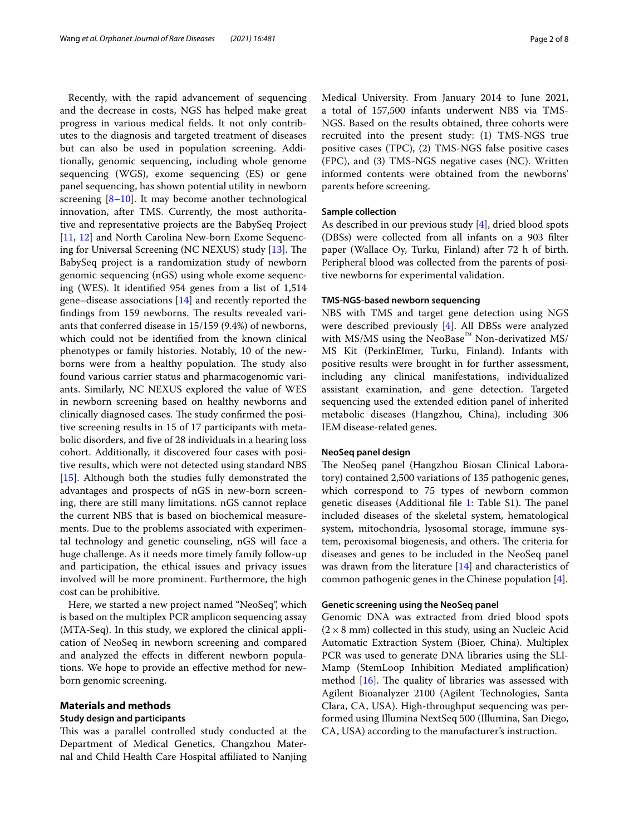Recently, with the rapid advancement of sequencing and the decrease in costs, NGS has helped make great progress in various medical felds. It not only contributes to the diagnosis and targeted treatment of diseases but can also be used in population screening. Additionally, genomic sequencing, including whole genome sequencing (WGS), exome sequencing (ES) or gene panel sequencing, has shown potential utility in newborn screening  $[8-10]$  $[8-10]$ . It may become another technological innovation, after TMS. Currently, the most authoritative and representative projects are the BabySeq Project [[11,](#page-7-9) [12\]](#page-7-10) and North Carolina New-born Exome Sequenc-ing for Universal Screening (NC NEXUS) study [\[13](#page-7-11)]. The BabySeq project is a randomization study of newborn genomic sequencing (nGS) using whole exome sequencing (WES). It identifed 954 genes from a list of 1,514 gene–disease associations [\[14](#page-7-12)] and recently reported the findings from 159 newborns. The results revealed variants that conferred disease in 15/159 (9.4%) of newborns, which could not be identifed from the known clinical phenotypes or family histories. Notably, 10 of the newborns were from a healthy population. The study also found various carrier status and pharmacogenomic variants. Similarly, NC NEXUS explored the value of WES in newborn screening based on healthy newborns and clinically diagnosed cases. The study confirmed the positive screening results in 15 of 17 participants with metabolic disorders, and fve of 28 individuals in a hearing loss cohort. Additionally, it discovered four cases with positive results, which were not detected using standard NBS [[15\]](#page-7-13). Although both the studies fully demonstrated the advantages and prospects of nGS in new-born screening, there are still many limitations. nGS cannot replace the current NBS that is based on biochemical measurements. Due to the problems associated with experimental technology and genetic counseling, nGS will face a huge challenge. As it needs more timely family follow-up and participation, the ethical issues and privacy issues involved will be more prominent. Furthermore, the high cost can be prohibitive.

Here, we started a new project named "NeoSeq", which is based on the multiplex PCR amplicon sequencing assay (MTA-Seq). In this study, we explored the clinical application of NeoSeq in newborn screening and compared and analyzed the effects in different newborn populations. We hope to provide an efective method for newborn genomic screening.

#### **Materials and methods**

# **Study design and participants**

This was a parallel controlled study conducted at the Department of Medical Genetics, Changzhou Maternal and Child Health Care Hospital afliated to Nanjing Medical University. From January 2014 to June 2021, a total of 157,500 infants underwent NBS via TMS-NGS. Based on the results obtained, three cohorts were recruited into the present study: (1) TMS-NGS true positive cases (TPC), (2) TMS-NGS false positive cases (FPC), and (3) TMS-NGS negative cases (NC). Written informed contents were obtained from the newborns' parents before screening.

# **Sample collection**

As described in our previous study [[4\]](#page-7-3), dried blood spots (DBSs) were collected from all infants on a 903 flter paper (Wallace Oy, Turku, Finland) after 72 h of birth. Peripheral blood was collected from the parents of positive newborns for experimental validation.

### **TMS‑NGS‑based newborn sequencing**

NBS with TMS and target gene detection using NGS were described previously [[4\]](#page-7-3). All DBSs were analyzed with MS/MS using the NeoBase™ Non-derivatized MS/ MS Kit (PerkinElmer, Turku, Finland). Infants with positive results were brought in for further assessment, including any clinical manifestations, individualized assistant examination, and gene detection. Targeted sequencing used the extended edition panel of inherited metabolic diseases (Hangzhou, China), including 306 IEM disease-related genes.

#### **NeoSeq panel design**

The NeoSeq panel (Hangzhou Biosan Clinical Laboratory) contained 2,500 variations of 135 pathogenic genes, which correspond to 75 types of newborn common genetic diseases (Additional file [1](#page-6-0): Table S1). The panel included diseases of the skeletal system, hematological system, mitochondria, lysosomal storage, immune system, peroxisomal biogenesis, and others. The criteria for diseases and genes to be included in the NeoSeq panel was drawn from the literature [\[14](#page-7-12)] and characteristics of common pathogenic genes in the Chinese population [[4](#page-7-3)].

## **Genetic screening using the NeoSeq panel**

Genomic DNA was extracted from dried blood spots  $(2 \times 8 \text{ mm})$  collected in this study, using an Nucleic Acid Automatic Extraction System (Bioer, China). Multiplex PCR was used to generate DNA libraries using the SLI-Mamp (StemLoop Inhibition Mediated amplifcation) method  $[16]$  $[16]$  $[16]$ . The quality of libraries was assessed with Agilent Bioanalyzer 2100 (Agilent Technologies, Santa Clara, CA, USA). High-throughput sequencing was performed using Illumina NextSeq 500 (Illumina, San Diego, CA, USA) according to the manufacturer's instruction.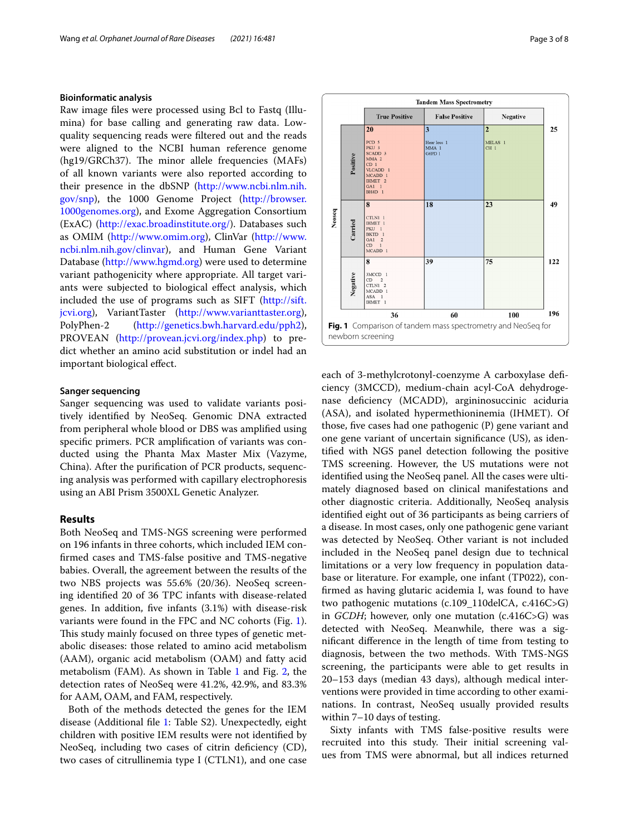# **Bioinformatic analysis**

Raw image fles were processed using Bcl to Fastq (Illumina) for base calling and generating raw data. Lowquality sequencing reads were fltered out and the reads were aligned to the NCBI human reference genome (hg19/GRCh37). The minor allele frequencies (MAFs) of all known variants were also reported according to their presence in the dbSNP [\(http://www.ncbi.nlm.nih.](http://www.ncbi.nlm.nih.gov/snp) [gov/snp](http://www.ncbi.nlm.nih.gov/snp)), the 1000 Genome Project ([http://browser.](http://browser.1000genomes.org) [1000genomes.org\)](http://browser.1000genomes.org), and Exome Aggregation Consortium (ExAC) ([http://exac.broadinstitute.org/\)](http://exac.broadinstitute.org/). Databases such as OMIM (<http://www.omim.org>), ClinVar [\(http://www.](http://www.ncbi.nlm.nih.gov/clinvar) [ncbi.nlm.nih.gov/clinvar\)](http://www.ncbi.nlm.nih.gov/clinvar), and Human Gene Variant Database ([http://www.hgmd.org\)](http://www.hgmd.org) were used to determine variant pathogenicity where appropriate. All target variants were subjected to biological efect analysis, which included the use of programs such as SIFT [\(http://sift.](http://sift.jcvi.org) [jcvi.org\)](http://sift.jcvi.org), VariantTaster [\(http://www.varianttaster.org](http://www.varianttaster.org)), PolyPhen-2 [\(http://genetics.bwh.harvard.edu/pph2](http://genetics.bwh.harvard.edu/pph2)), PROVEAN (<http://provean.jcvi.org/index.php>) to predict whether an amino acid substitution or indel had an important biological efect.

### **Sanger sequencing**

Sanger sequencing was used to validate variants positively identifed by NeoSeq. Genomic DNA extracted from peripheral whole blood or DBS was amplifed using specifc primers. PCR amplifcation of variants was conducted using the Phanta Max Master Mix (Vazyme, China). After the purifcation of PCR products, sequencing analysis was performed with capillary electrophoresis using an ABI Prism 3500XL Genetic Analyzer.

#### **Results**

Both NeoSeq and TMS-NGS screening were performed on 196 infants in three cohorts, which included IEM confrmed cases and TMS-false positive and TMS-negative babies. Overall, the agreement between the results of the two NBS projects was 55.6% (20/36). NeoSeq screening identifed 20 of 36 TPC infants with disease-related genes. In addition, fve infants (3.1%) with disease-risk variants were found in the FPC and NC cohorts (Fig. [1](#page-2-0)). This study mainly focused on three types of genetic metabolic diseases: those related to amino acid metabolism (AAM), organic acid metabolism (OAM) and fatty acid metabolism (FAM). As shown in Table [1](#page-3-0) and Fig. [2,](#page-3-1) the detection rates of NeoSeq were 41.2%, 42.9%, and 83.3% for AAM, OAM, and FAM, respectively.

Both of the methods detected the genes for the IEM disease (Additional fle [1:](#page-6-0) Table S2). Unexpectedly, eight children with positive IEM results were not identifed by NeoSeq, including two cases of citrin deficiency (CD), two cases of citrullinemia type I (CTLN1), and one case

**Tandem Mass Spectrometry True Positive False Positive Negative** 20  $25$ PCD<sub>5</sub> MELAS 1 Hear loss 1<br>MMA 1<br>G6PD 1 PCD 3<br>
PKU 3<br>
SCADD 3<br>
MMA 2<br>
CD 1<br>
MCADD 1<br>
HMET 2<br>
GA1 1 CH<sub>1</sub> Positive GA1 1<br>BH4D 1  $\overline{\mathbf{8}}$  $\overline{18}$  $\overline{23}$ 49 Neoseq CTLN1 1 Carried HMET 1<br>PKU 1<br>BKTD 1<br>GA1 2 CD 1<br>MCADD 1 39  $\overline{75}$ 122 Negative  $\begin{array}{cc}\n3\text{MCCD} & 1 \\
\text{CD} & 2\n\end{array}$  $\overline{\text{CTLN1}}$  2 MCADD:  $ASA$ IHMET<sub>1</sub> 36 100 196 60 **Fig. 1** Comparison of tandem mass spectrometry and NeoSeq for newborn screening

<span id="page-2-0"></span>each of 3-methylcrotonyl-coenzyme A carboxylase defciency (3MCCD), medium-chain acyl-CoA dehydrogenase defciency (MCADD), argininosuccinic aciduria (ASA), and isolated hypermethioninemia (IHMET). Of those, fve cases had one pathogenic (P) gene variant and one gene variant of uncertain signifcance (US), as identifed with NGS panel detection following the positive TMS screening. However, the US mutations were not identifed using the NeoSeq panel. All the cases were ultimately diagnosed based on clinical manifestations and other diagnostic criteria. Additionally, NeoSeq analysis identifed eight out of 36 participants as being carriers of a disease. In most cases, only one pathogenic gene variant was detected by NeoSeq. Other variant is not included included in the NeoSeq panel design due to technical limitations or a very low frequency in population database or literature. For example, one infant (TP022), confrmed as having glutaric acidemia I, was found to have two pathogenic mutations (c.109\_110delCA, c.416C>G) in *GCDH*; however, only one mutation (c.416C>G) was detected with NeoSeq. Meanwhile, there was a signifcant diference in the length of time from testing to diagnosis, between the two methods. With TMS-NGS screening, the participants were able to get results in 20–153 days (median 43 days), although medical interventions were provided in time according to other examinations. In contrast, NeoSeq usually provided results within 7–10 days of testing.

Sixty infants with TMS false-positive results were recruited into this study. Their initial screening values from TMS were abnormal, but all indices returned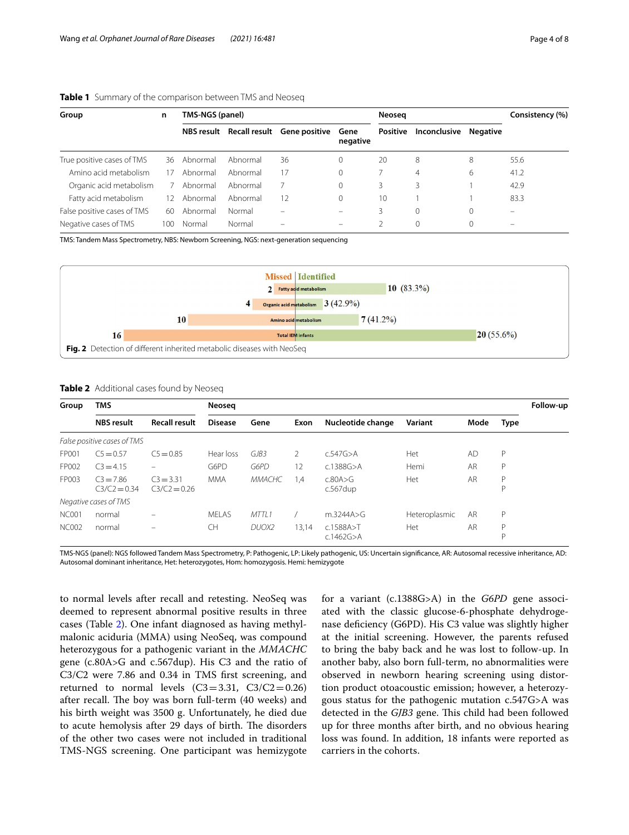| Group                       | n   | TMS-NGS (panel) |          |                                        |                  | Neoseg          |                | Consistency (%) |                          |
|-----------------------------|-----|-----------------|----------|----------------------------------------|------------------|-----------------|----------------|-----------------|--------------------------|
|                             |     |                 |          | NBS result Recall result Gene positive | Gene<br>negative | <b>Positive</b> | Inconclusive   | Negative        |                          |
| True positive cases of TMS  | 36  | Abnormal        | Abnormal | 36                                     | $\Omega$         | 20              | 8              | 8               | 55.6                     |
| Amino acid metabolism       | 17  | Abnormal        | Abnormal | 17                                     | 0                |                 | $\overline{4}$ | 6               | 41.2                     |
| Organic acid metabolism     |     | Abnormal        | Abnormal |                                        | $\Omega$         | 3               | 3              |                 | 42.9                     |
| Fatty acid metabolism       | 12  | Abnormal        | Abnormal | 12                                     | $\Omega$         | 10              |                |                 | 83.3                     |
| False positive cases of TMS | 60  | Abnormal        | Normal   | $\overline{\phantom{0}}$               | -                | 3               | 0              | 0               | $\overline{\phantom{0}}$ |
| Negative cases of TMS       | 100 | Normal          | Normal   |                                        |                  |                 | 0              | $\Omega$        | $\overline{\phantom{0}}$ |

<span id="page-3-0"></span>**Table 1** Summary of the comparison between TMS and Neoseq

TMS: Tandem Mass Spectrometry, NBS: Newborn Screening, NGS: next-generation sequencing



<span id="page-3-2"></span><span id="page-3-1"></span>**Table 2** Additional cases found by Neoseq

| Group        | <b>TMS</b>                    |                               | Neoseg         |               |       |                              |               |           |             | Follow-up |
|--------------|-------------------------------|-------------------------------|----------------|---------------|-------|------------------------------|---------------|-----------|-------------|-----------|
|              | <b>NBS</b> result             | <b>Recall result</b>          | <b>Disease</b> | Gene          | Exon  | Nucleotide change            | Variant       | Mode      | <b>Type</b> |           |
|              | False positive cases of TMS   |                               |                |               |       |                              |               |           |             |           |
| FP001        | $C5 = 0.57$                   | $C_5 = 0.85$                  | Hear loss      | GIB3          | 2     | c.547G > A                   | Het           | <b>AD</b> | P           |           |
| FP002        | $C3 = 4.15$                   |                               | G6PD           | G6PD          | 12    | c.1388G > A                  | Hemi          | AR        | P           |           |
| FP003        | $C3 = 7.86$<br>$C3/C2 = 0.34$ | $C3 = 3.31$<br>$C3/C2 = 0.26$ | <b>MMA</b>     | <b>MMACHC</b> | 1,4   | c.80A>G<br>$c.567$ dup       | Het           | AR        | D<br>D      |           |
|              | Negative cases of TMS         |                               |                |               |       |                              |               |           |             |           |
| NC001        | normal                        |                               | MFI AS         | MTTI1         |       | m.3244A > G                  | Heteroplasmic | AR        | P           |           |
| <b>NC002</b> | normal                        |                               | <b>CH</b>      | DUOX2         | 13,14 | c.1588A > T<br>c.1462G $>$ A | Het           | AR        | D<br>D      |           |

TMS-NGS (panel): NGS followed Tandem Mass Spectrometry, P: Pathogenic, LP: Likely pathogenic, US: Uncertain signifcance, AR: Autosomal recessive inheritance, AD: Autosomal dominant inheritance, Het: heterozygotes, Hom: homozygosis. Hemi: hemizygote

to normal levels after recall and retesting. NeoSeq was deemed to represent abnormal positive results in three cases (Table [2\)](#page-3-2). One infant diagnosed as having methylmalonic aciduria (MMA) using NeoSeq, was compound heterozygous for a pathogenic variant in the *MMACHC* gene (c.80A>G and c.567dup). His C3 and the ratio of C3/C2 were 7.86 and 0.34 in TMS frst screening, and returned to normal levels  $(C3=3.31, C3/C2=0.26)$ after recall. The boy was born full-term (40 weeks) and his birth weight was 3500 g. Unfortunately, he died due to acute hemolysis after 29 days of birth. The disorders of the other two cases were not included in traditional TMS-NGS screening. One participant was hemizygote for a variant (c.1388G>A) in the *G6PD* gene associated with the classic glucose-6-phosphate dehydrogenase defciency (G6PD). His C3 value was slightly higher at the initial screening. However, the parents refused to bring the baby back and he was lost to follow-up. In another baby, also born full-term, no abnormalities were observed in newborn hearing screening using distortion product otoacoustic emission; however, a heterozygous status for the pathogenic mutation c.547G>A was detected in the GJB3 gene. This child had been followed up for three months after birth, and no obvious hearing loss was found. In addition, 18 infants were reported as carriers in the cohorts.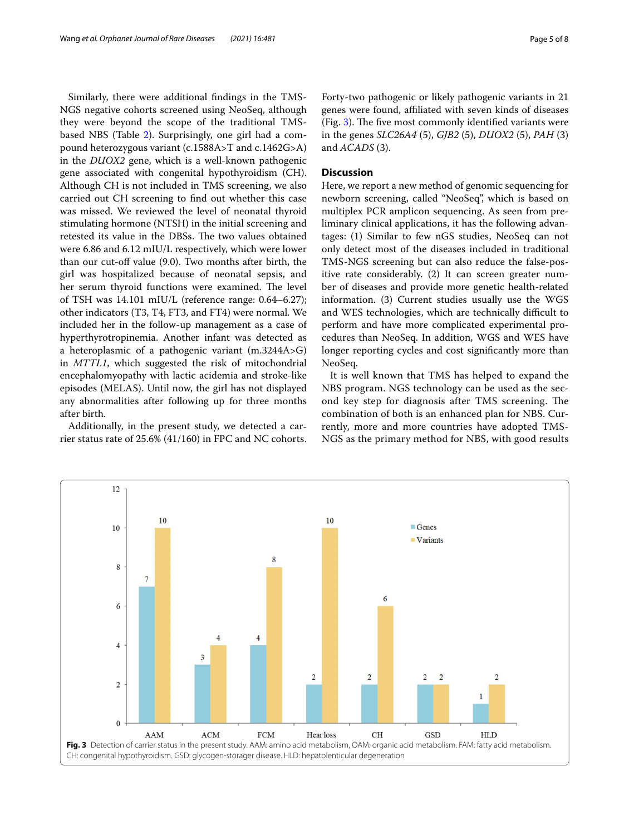Similarly, there were additional fndings in the TMS-NGS negative cohorts screened using NeoSeq, although they were beyond the scope of the traditional TMSbased NBS (Table [2\)](#page-3-2). Surprisingly, one girl had a compound heterozygous variant (c.1588A>T and c.1462G>A) in the *DUOX2* gene, which is a well-known pathogenic gene associated with congenital hypothyroidism (CH). Although CH is not included in TMS screening, we also carried out CH screening to fnd out whether this case was missed. We reviewed the level of neonatal thyroid stimulating hormone (NTSH) in the initial screening and retested its value in the DBSs. The two values obtained were 6.86 and 6.12 mIU/L respectively, which were lower than our cut-of value (9.0). Two months after birth, the girl was hospitalized because of neonatal sepsis, and her serum thyroid functions were examined. The level of TSH was 14.101 mIU/L (reference range: 0.64–6.27); other indicators (T3, T4, FT3, and FT4) were normal. We included her in the follow-up management as a case of hyperthyrotropinemia. Another infant was detected as a heteroplasmic of a pathogenic variant (m.3244A>G) in *MTTL1*, which suggested the risk of mitochondrial encephalomyopathy with lactic acidemia and stroke-like episodes (MELAS). Until now, the girl has not displayed any abnormalities after following up for three months after birth.

Additionally, in the present study, we detected a carrier status rate of 25.6% (41/160) in FPC and NC cohorts.

# **Discussion**

Here, we report a new method of genomic sequencing for newborn screening, called "NeoSeq", which is based on multiplex PCR amplicon sequencing. As seen from preliminary clinical applications, it has the following advantages: (1) Similar to few nGS studies, NeoSeq can not only detect most of the diseases included in traditional TMS-NGS screening but can also reduce the false-positive rate considerably. (2) It can screen greater number of diseases and provide more genetic health-related information. (3) Current studies usually use the WGS and WES technologies, which are technically difficult to perform and have more complicated experimental procedures than NeoSeq. In addition, WGS and WES have longer reporting cycles and cost signifcantly more than NeoSeq.

It is well known that TMS has helped to expand the NBS program. NGS technology can be used as the second key step for diagnosis after TMS screening. The combination of both is an enhanced plan for NBS. Currently, more and more countries have adopted TMS-NGS as the primary method for NBS, with good results

<span id="page-4-0"></span>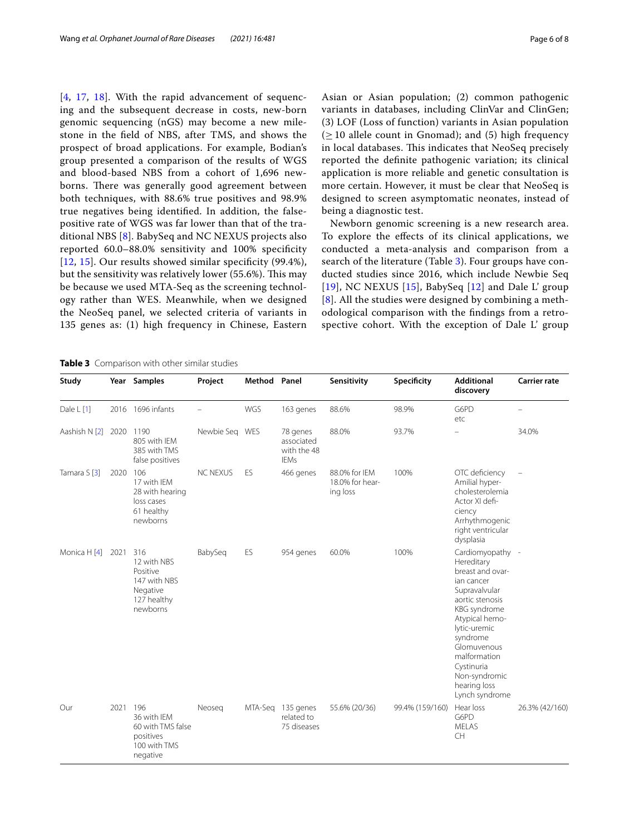[[4](#page-7-3), [17](#page-7-15), [18](#page-7-16)]. With the rapid advancement of sequencing and the subsequent decrease in costs, new-born genomic sequencing (nGS) may become a new milestone in the feld of NBS, after TMS, and shows the prospect of broad applications. For example, Bodian's group presented a comparison of the results of WGS and blood-based NBS from a cohort of 1,696 newborns. There was generally good agreement between both techniques, with 88.6% true positives and 98.9% true negatives being identifed. In addition, the falsepositive rate of WGS was far lower than that of the traditional NBS [\[8](#page-7-7)]. BabySeq and NC NEXUS projects also reported 60.0–88.0% sensitivity and 100% specifcity [[12](#page-7-10), [15](#page-7-13)]. Our results showed similar specificity (99.4%), but the sensitivity was relatively lower (55.6%). This may be because we used MTA-Seq as the screening technology rather than WES. Meanwhile, when we designed the NeoSeq panel, we selected criteria of variants in 135 genes as: (1) high frequency in Chinese, Eastern Asian or Asian population; (2) common pathogenic variants in databases, including ClinVar and ClinGen; (3) LOF (Loss of function) variants in Asian population  $(\geq 10$  allele count in Gnomad); and (5) high frequency in local databases. This indicates that NeoSeq precisely reported the defnite pathogenic variation; its clinical application is more reliable and genetic consultation is more certain. However, it must be clear that NeoSeq is designed to screen asymptomatic neonates, instead of being a diagnostic test.

Newborn genomic screening is a new research area. To explore the efects of its clinical applications, we conducted a meta-analysis and comparison from a search of the literature (Table [3](#page-5-0)). Four groups have conducted studies since 2016, which include Newbie Seq [[19](#page-7-17)], NC NEXUS [\[15](#page-7-13)], BabySeq [[12\]](#page-7-10) and Dale L' group [[8](#page-7-7)]. All the studies were designed by combining a methodological comparison with the fndings from a retrospective cohort. With the exception of Dale L' group

<span id="page-5-0"></span>

| Study         |      | Year Samples                                                                          | Project         | Method Panel |                                                      | Sensitivity                                  | Specificity     | <b>Additional</b><br>discovery                                                                                                                                                                                                                                     | <b>Carrier rate</b> |
|---------------|------|---------------------------------------------------------------------------------------|-----------------|--------------|------------------------------------------------------|----------------------------------------------|-----------------|--------------------------------------------------------------------------------------------------------------------------------------------------------------------------------------------------------------------------------------------------------------------|---------------------|
| Dale L [1]    |      | 2016 1696 infants                                                                     |                 | WGS          | 163 genes                                            | 88.6%                                        | 98.9%           | G6PD<br>etc                                                                                                                                                                                                                                                        |                     |
| Aashish N [2] | 2020 | 1190<br>805 with IEM<br>385 with TMS<br>false positives                               | Newbie Seq WES  |              | 78 genes<br>associated<br>with the 48<br><b>IEMs</b> | 88.0%                                        | 93.7%           |                                                                                                                                                                                                                                                                    | 34.0%               |
| Tamara S [3]  | 2020 | 106<br>17 with IEM<br>28 with hearing<br>loss cases<br>61 healthy<br>newborns         | <b>NC NEXUS</b> | ES           | 466 genes                                            | 88.0% for IEM<br>18.0% for hear-<br>ing loss | 100%            | OTC deficiency<br>Amilial hyper-<br>cholesterolemia<br>Actor XI defi-<br>ciency<br>Arrhythmogenic<br>right ventricular<br>dysplasia                                                                                                                                | $\qquad \qquad -$   |
| Monica H [4]  | 2021 | 316<br>12 with NBS<br>Positive<br>147 with NBS<br>Negative<br>127 healthy<br>newborns | BabySeq         | ES           | 954 genes                                            | 60.0%                                        | 100%            | Cardiomyopathy -<br>Hereditary<br>breast and ovar-<br>ian cancer<br>Supravalvular<br>aortic stenosis<br>KBG syndrome<br>Atypical hemo-<br>lytic-uremic<br>syndrome<br>Glomuvenous<br>malformation<br>Cystinuria<br>Non-syndromic<br>hearing loss<br>Lynch syndrome |                     |
| Our           | 2021 | 196<br>36 with IEM<br>60 with TMS false<br>positives<br>100 with TMS<br>negative      | Neoseg          |              | MTA-Seq 135 genes<br>related to<br>75 diseases       | 55.6% (20/36)                                | 99.4% (159/160) | Hear loss<br>G6PD<br><b>MELAS</b><br>CH                                                                                                                                                                                                                            | 26.3% (42/160)      |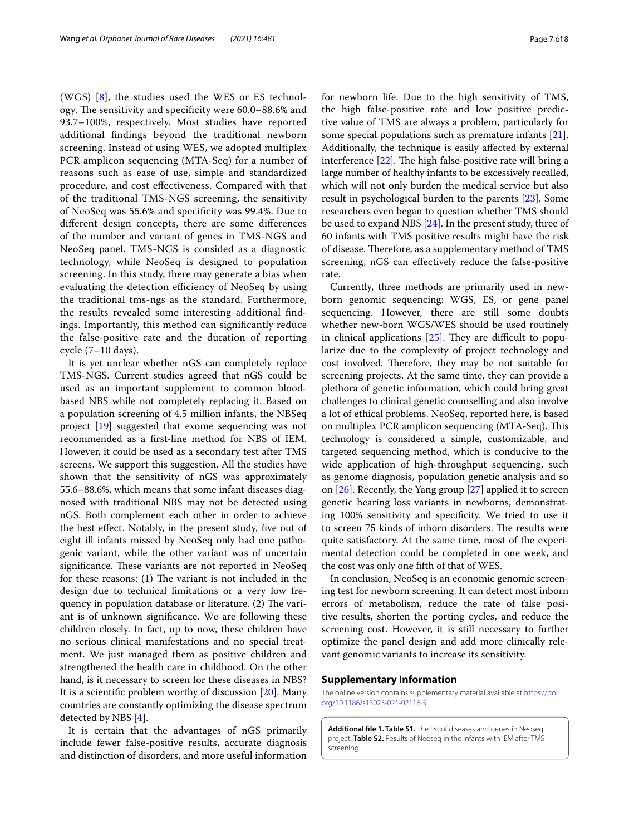(WGS) [[8\]](#page-7-7), the studies used the WES or ES technology. The sensitivity and specificity were 60.0–88.6% and 93.7–100%, respectively. Most studies have reported additional fndings beyond the traditional newborn screening. Instead of using WES, we adopted multiplex PCR amplicon sequencing (MTA-Seq) for a number of reasons such as ease of use, simple and standardized procedure, and cost efectiveness. Compared with that of the traditional TMS-NGS screening, the sensitivity of NeoSeq was 55.6% and specifcity was 99.4%. Due to diferent design concepts, there are some diferences of the number and variant of genes in TMS-NGS and NeoSeq panel. TMS-NGS is consided as a diagnostic technology, while NeoSeq is designed to population screening. In this study, there may generate a bias when evaluating the detection efficiency of NeoSeq by using the traditional tms-ngs as the standard. Furthermore, the results revealed some interesting additional fndings. Importantly, this method can signifcantly reduce the false-positive rate and the duration of reporting cycle (7–10 days).

It is yet unclear whether nGS can completely replace TMS-NGS. Current studies agreed that nGS could be used as an important supplement to common bloodbased NBS while not completely replacing it. Based on a population screening of 4.5 million infants, the NBSeq project [\[19](#page-7-17)] suggested that exome sequencing was not recommended as a frst-line method for NBS of IEM. However, it could be used as a secondary test after TMS screens. We support this suggestion. All the studies have shown that the sensitivity of nGS was approximately 55.6–88.6%, which means that some infant diseases diagnosed with traditional NBS may not be detected using nGS. Both complement each other in order to achieve the best efect. Notably, in the present study, fve out of eight ill infants missed by NeoSeq only had one pathogenic variant, while the other variant was of uncertain significance. These variants are not reported in NeoSeq for these reasons:  $(1)$  The variant is not included in the design due to technical limitations or a very low frequency in population database or literature. (2) The variant is of unknown signifcance. We are following these children closely. In fact, up to now, these children have no serious clinical manifestations and no special treatment. We just managed them as positive children and strengthened the health care in childhood. On the other hand, is it necessary to screen for these diseases in NBS? It is a scientifc problem worthy of discussion [\[20](#page-7-18)]. Many countries are constantly optimizing the disease spectrum detected by NBS [\[4](#page-7-3)].

It is certain that the advantages of nGS primarily include fewer false-positive results, accurate diagnosis and distinction of disorders, and more useful information for newborn life. Due to the high sensitivity of TMS, the high false-positive rate and low positive predictive value of TMS are always a problem, particularly for some special populations such as premature infants [\[21](#page-7-19)]. Additionally, the technique is easily afected by external interference  $[22]$  $[22]$ . The high false-positive rate will bring a large number of healthy infants to be excessively recalled, which will not only burden the medical service but also result in psychological burden to the parents [\[23](#page-7-21)]. Some researchers even began to question whether TMS should be used to expand NBS [\[24](#page-7-22)]. In the present study, three of 60 infants with TMS positive results might have the risk of disease. Therefore, as a supplementary method of TMS screening, nGS can efectively reduce the false-positive rate.

Currently, three methods are primarily used in newborn genomic sequencing: WGS, ES, or gene panel sequencing. However, there are still some doubts whether new-born WGS/WES should be used routinely in clinical applications  $[25]$  $[25]$ . They are difficult to popularize due to the complexity of project technology and cost involved. Therefore, they may be not suitable for screening projects. At the same time, they can provide a plethora of genetic information, which could bring great challenges to clinical genetic counselling and also involve a lot of ethical problems. NeoSeq, reported here, is based on multiplex PCR amplicon sequencing (MTA-Seq). This technology is considered a simple, customizable, and targeted sequencing method, which is conducive to the wide application of high-throughput sequencing, such as genome diagnosis, population genetic analysis and so on [[26\]](#page-7-24). Recently, the Yang group [\[27](#page-7-25)] applied it to screen genetic hearing loss variants in newborns, demonstrating 100% sensitivity and specifcity. We tried to use it to screen 75 kinds of inborn disorders. The results were quite satisfactory. At the same time, most of the experimental detection could be completed in one week, and the cost was only one ffth of that of WES.

In conclusion, NeoSeq is an economic genomic screening test for newborn screening. It can detect most inborn errors of metabolism, reduce the rate of false positive results, shorten the porting cycles, and reduce the screening cost. However, it is still necessary to further optimize the panel design and add more clinically relevant genomic variants to increase its sensitivity.

#### **Supplementary Information**

The online version contains supplementary material available at [https://doi.](https://doi.org/10.1186/s13023-021-02116-5) [org/10.1186/s13023-021-02116-5](https://doi.org/10.1186/s13023-021-02116-5).

<span id="page-6-0"></span>**Additional fle 1. Table S1.** The list of diseases and genes in Neoseq project. **Table S2.** Results of Neoseq in the infants with IEM after TMS screening.